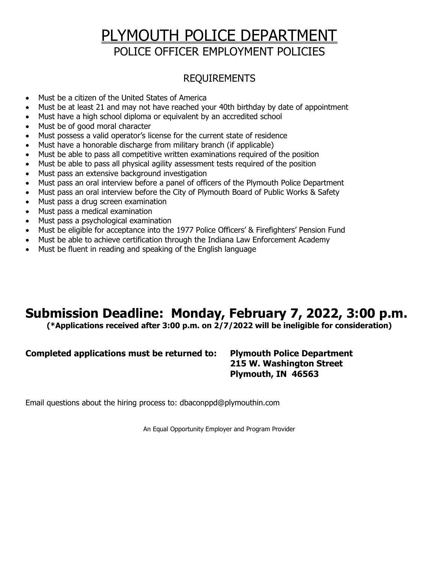# PLYMOUTH POLICE DEPARTMENT POLICE OFFICER EMPLOYMENT POLICIES

## REQUIREMENTS

- Must be a citizen of the United States of America
- Must be at least 21 and may not have reached your 40th birthday by date of appointment
- Must have a high school diploma or equivalent by an accredited school
- Must be of good moral character
- Must possess a valid operator's license for the current state of residence
- Must have a honorable discharge from military branch (if applicable)
- Must be able to pass all competitive written examinations required of the position
- Must be able to pass all physical agility assessment tests required of the position
- Must pass an extensive background investigation
- Must pass an oral interview before a panel of officers of the Plymouth Police Department
- Must pass an oral interview before the City of Plymouth Board of Public Works & Safety
- Must pass a drug screen examination
- Must pass a medical examination
- Must pass a psychological examination
- Must be eligible for acceptance into the 1977 Police Officers' & Firefighters' Pension Fund
- Must be able to achieve certification through the Indiana Law Enforcement Academy
- Must be fluent in reading and speaking of the English language

## Submission Deadline: Monday, February 7, 2022, 3:00 p.m.

(\*Applications received after 3:00 p.m. on 2/7/2022 will be ineligible for consideration)

## Completed applications must be returned to: Plymouth Police Department

215 W. Washington Street Plymouth, IN 46563

Email questions about the hiring process to: dbaconppd@plymouthin.com

An Equal Opportunity Employer and Program Provider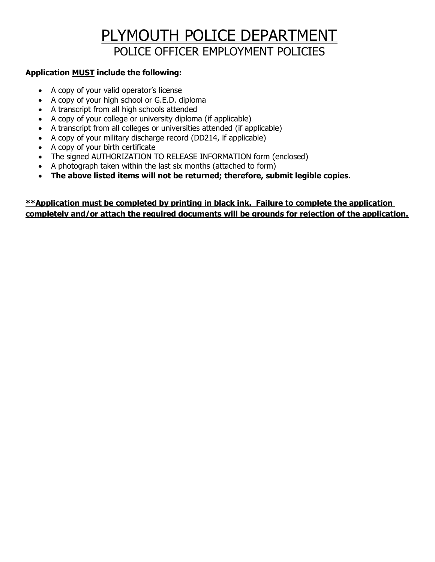# PLYMOUTH POLICE DEPARTMENT POLICE OFFICER EMPLOYMENT POLICIES

## Application MUST include the following:

- A copy of your valid operator's license
- A copy of your high school or G.E.D. diploma
- A transcript from all high schools attended
- A copy of your college or university diploma (if applicable)
- A transcript from all colleges or universities attended (if applicable)
- A copy of your military discharge record (DD214, if applicable)
- A copy of your birth certificate
- The signed AUTHORIZATION TO RELEASE INFORMATION form (enclosed)
- A photograph taken within the last six months (attached to form)
- The above listed items will not be returned; therefore, submit legible copies.

## \*\*Application must be completed by printing in black ink. Failure to complete the application completely and/or attach the required documents will be grounds for rejection of the application.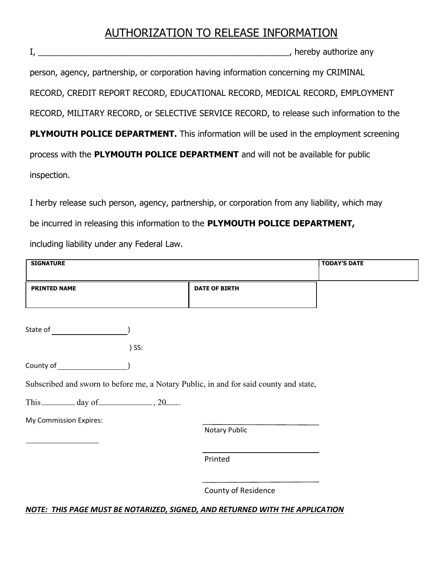## AUTHORIZATION TO RELEASE INFORMATION

I, \_\_\_\_\_\_\_\_\_\_\_\_\_\_\_\_\_\_\_\_\_\_\_\_\_\_\_\_\_\_\_\_\_\_\_\_\_\_\_\_\_\_\_\_\_\_\_\_\_\_\_\_\_\_, hereby authorize any

person, agency, partnership, or corporation having information concerning my CRIMINAL RECORD, CREDIT REPORT RECORD, EDUCATIONAL RECORD, MEDICAL RECORD, EMPLOYMENT RECORD, MILITARY RECORD, or SELECTIVE SERVICE RECORD, to release such information to the PLYMOUTH POLICE DEPARTMENT. This information will be used in the employment screening process with the PLYMOUTH POLICE DEPARTMENT and will not be available for public inspection.

I herby release such person, agency, partnership, or corporation from any liability, which may be incurred in releasing this information to the PLYMOUTH POLICE DEPARTMENT, including liability under any Federal Law.

| <b>SIGNATURE</b>                                    |         |                                                                                       | <b>TODAY'S DATE</b> |
|-----------------------------------------------------|---------|---------------------------------------------------------------------------------------|---------------------|
| <b>PRINTED NAME</b>                                 |         | <b>DATE OF BIRTH</b>                                                                  |                     |
|                                                     |         |                                                                                       |                     |
|                                                     | $)$ SS: |                                                                                       |                     |
|                                                     |         |                                                                                       |                     |
|                                                     |         | Subscribed and sworn to before me, a Notary Public, in and for said county and state, |                     |
| This $\_\_\_\_$ day of $\_\_\_\_$ , 20 $\_\_\_\_$ . |         |                                                                                       |                     |
| My Commission Expires:                              |         |                                                                                       |                     |
|                                                     |         | Notary Public                                                                         |                     |
|                                                     |         | Printed                                                                               |                     |
|                                                     |         | County of Residence                                                                   |                     |

### NOTE: THIS PAGE MUST BE NOTARIZED, SIGNED, AND RETURNED WITH THE APPLICATION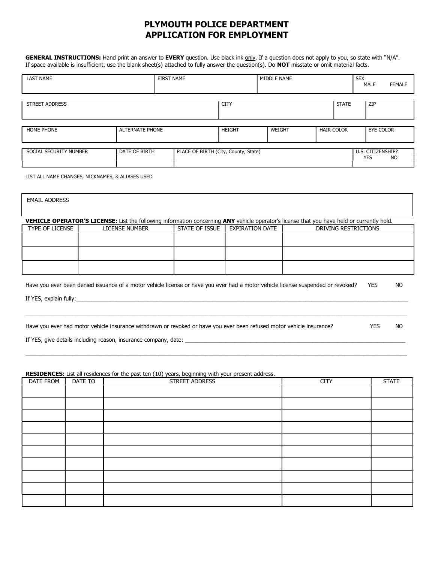## PLYMOUTH POLICE DEPARTMENT APPLICATION FOR EMPLOYMENT

GENERAL INSTRUCTIONS: Hand print an answer to EVERY question. Use black ink only. If a question does not apply to you, so state with "N/A". If space available is insufficient, use the blank sheet(s) attached to fully answer the question(s). Do **NOT** misstate or omit material facts.

| <b>LAST NAME</b>       |                        | <b>FIRST NAME</b>                    |               | MIDDLE NAME |                   | <b>SEX</b><br><b>MALE</b> | <b>FEMALE</b>           |
|------------------------|------------------------|--------------------------------------|---------------|-------------|-------------------|---------------------------|-------------------------|
| STREET ADDRESS         |                        |                                      | <b>CITY</b>   |             | <b>STATE</b>      |                           | <b>ZIP</b>              |
| <b>HOME PHONE</b>      | <b>ALTERNATE PHONE</b> |                                      | <b>HEIGHT</b> | WEIGHT      | <b>HAIR COLOR</b> |                           | <b>EYE COLOR</b>        |
| SOCIAL SECURITY NUMBER | DATE OF BIRTH          | PLACE OF BIRTH (City, County, State) |               |             |                   | <b>YES</b>                | U.S. CITIZENSHIP?<br>NO |

LIST ALL NAME CHANGES, NICKNAMES, & ALIASES USED

| <b>EMAIL ADDRESS</b> |                                                                                                                                            |                |                 |                      |            |    |
|----------------------|--------------------------------------------------------------------------------------------------------------------------------------------|----------------|-----------------|----------------------|------------|----|
|                      |                                                                                                                                            |                |                 |                      |            |    |
|                      | VEHICLE OPERATOR'S LICENSE: List the following information concerning ANY vehicle operator's license that you have held or currently hold. |                |                 |                      |            |    |
| TYPE OF LICENSE      | <b>LICENSE NUMBER</b>                                                                                                                      | STATE OF ISSUE | EXPIRATION DATE | DRIVING RESTRICTIONS |            |    |
|                      |                                                                                                                                            |                |                 |                      |            |    |
|                      |                                                                                                                                            |                |                 |                      |            |    |
|                      |                                                                                                                                            |                |                 |                      |            |    |
|                      |                                                                                                                                            |                |                 |                      |            |    |
|                      |                                                                                                                                            |                |                 |                      |            |    |
|                      | Have you ever been denied issuance of a motor vehicle license or have you ever had a motor vehicle license suspended or revoked?           |                |                 |                      | <b>YES</b> | NO |
|                      |                                                                                                                                            |                |                 |                      |            |    |
|                      |                                                                                                                                            |                |                 |                      |            |    |
|                      |                                                                                                                                            |                |                 |                      |            |    |
|                      |                                                                                                                                            |                |                 |                      |            |    |
|                      | Have you ever had motor vehicle insurance withdrawn or revoked or have you ever been refused motor vehicle insurance?<br><b>YES</b>        |                |                 |                      |            |    |
|                      | If YES, give details including reason, insurance company, date: ________________                                                           |                |                 |                      |            |    |

#### RESIDENCES: List all residences for the past ten (10) years, beginning with your present address.

| DATE FROM | DATE TO | STREET ADDRESS | <b>CITY</b> | <b>STATE</b> |
|-----------|---------|----------------|-------------|--------------|
|           |         |                |             |              |
|           |         |                |             |              |
|           |         |                |             |              |
|           |         |                |             |              |
|           |         |                |             |              |
|           |         |                |             |              |
|           |         |                |             |              |
|           |         |                |             |              |
|           |         |                |             |              |
|           |         |                |             |              |

\_\_\_\_\_\_\_\_\_\_\_\_\_\_\_\_\_\_\_\_\_\_\_\_\_\_\_\_\_\_\_\_\_\_\_\_\_\_\_\_\_\_\_\_\_\_\_\_\_\_\_\_\_\_\_\_\_\_\_\_\_\_\_\_\_\_\_\_\_\_\_\_\_\_\_\_\_\_\_\_\_\_\_\_\_\_\_\_\_\_\_\_\_\_\_\_\_\_\_\_\_\_\_\_\_\_\_\_\_\_\_\_\_\_\_\_\_\_\_\_\_\_\_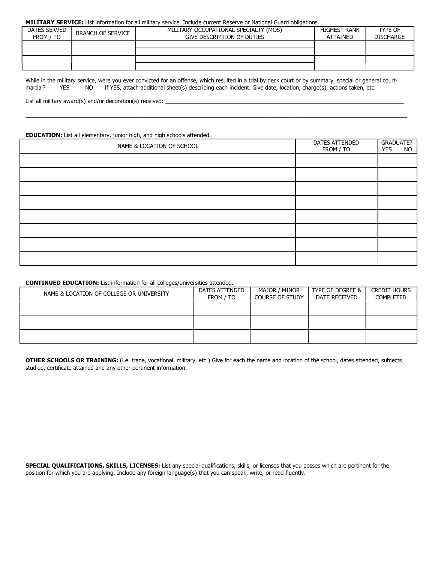#### MILITARY SERVICE: List information for all military service. Include current Reserve or National Guard obligations.

| DATES SERVED<br>FROM / TO | BRANCH OF SERVICE | MILITARY OCCUPATIONAL SPECIALTY (MOS)<br>GIVE DESCRIPTION OF DUTIES | <b>HIGHEST RANK</b><br><b>ATTAINED</b> | TYPE OF<br><b>DISCHARGE</b> |
|---------------------------|-------------------|---------------------------------------------------------------------|----------------------------------------|-----------------------------|
|                           |                   |                                                                     |                                        |                             |
|                           |                   |                                                                     |                                        |                             |

While in the military service, were you ever convicted for an offense, which resulted in a trial by deck court or by summary, special or general courtmartial? YES NO If YES, attach additional sheet(s) describing each incident. Give date, location, charge(s), actions taken, etc.

\_\_\_\_\_\_\_\_\_\_\_\_\_\_\_\_\_\_\_\_\_\_\_\_\_\_\_\_\_\_\_\_\_\_\_\_\_\_\_\_\_\_\_\_\_\_\_\_\_\_\_\_\_\_\_\_\_\_\_\_\_\_\_\_\_\_\_\_\_\_\_\_\_\_\_\_\_\_\_\_\_\_\_\_\_\_\_\_\_\_\_\_\_\_\_\_\_\_\_\_\_\_\_\_\_\_\_\_\_\_\_\_\_\_\_\_\_\_\_\_\_\_\_

List all military award(s) and/or decoration(s) received: \_\_

#### EDUCATION: List all elementary, junior high, and high schools attended.

| NAME & LOCATION OF SCHOOL | <b>DATES ATTENDED</b><br>FROM / TO | <b>GRADUATE?</b><br><b>NO</b><br><b>YES</b> |
|---------------------------|------------------------------------|---------------------------------------------|
|                           |                                    |                                             |
|                           |                                    |                                             |
|                           |                                    |                                             |
|                           |                                    |                                             |
|                           |                                    |                                             |
|                           |                                    |                                             |
|                           |                                    |                                             |
|                           |                                    |                                             |

CONTINUED EDUCATION: List information for all colleges/universities attended.

| NAME & LOCATION OF COLLEGE OR UNIVERSITY | DATES ATTENDED<br>FROM / TO | MAJOR / MINOR<br><b>COURSE OF STUDY</b> | TYPE OF DEGREE &  <br>DATE RECEIVED | <b>CREDIT HOURS</b><br>COMPLETED |
|------------------------------------------|-----------------------------|-----------------------------------------|-------------------------------------|----------------------------------|
|                                          |                             |                                         |                                     |                                  |
|                                          |                             |                                         |                                     |                                  |
|                                          |                             |                                         |                                     |                                  |

OTHER SCHOOLS OR TRAINING: (i.e. trade, vocational, military, etc.) Give for each the name and location of the school, dates attended, subjects studied, certificate attained and any other pertinent information.

SPECIAL QUALIFICATIONS, SKILLS, LICENSES: List any special qualifications, skills, or licenses that you posses which are pertinent for the position for which you are applying. Include any foreign language(s) that you can speak, write, or read fluently.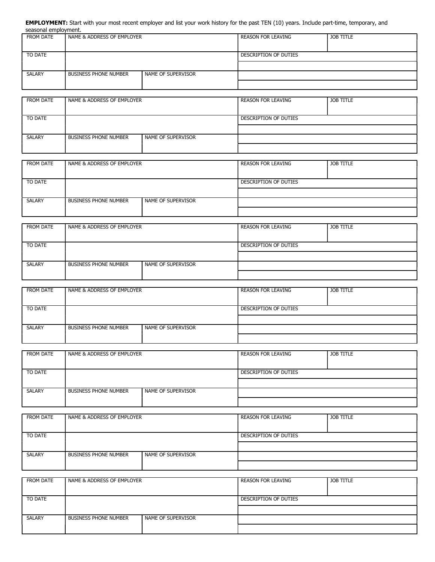EMPLOYMENT: Start with your most recent employer and list your work history for the past TEN (10) years. Include part-time, temporary, and seasonal employment.

| FROM DATE     | NAME & ADDRESS OF EMPLOYER   |                    | REASON FOR LEAVING        | JOB TITLE |
|---------------|------------------------------|--------------------|---------------------------|-----------|
| TO DATE       |                              |                    | DESCRIPTION OF DUTIES     |           |
|               |                              |                    |                           |           |
| <b>SALARY</b> | <b>BUSINESS PHONE NUMBER</b> | NAME OF SUPERVISOR |                           |           |
|               |                              |                    |                           |           |
|               |                              |                    |                           |           |
| FROM DATE     | NAME & ADDRESS OF EMPLOYER   |                    | <b>REASON FOR LEAVING</b> | JOB TITLE |

| TO DATE |                              |                    | DESCRIPTION OF DUTIES |  |
|---------|------------------------------|--------------------|-----------------------|--|
|         |                              |                    |                       |  |
| SALARY  | <b>BUSINESS PHONE NUMBER</b> | NAME OF SUPERVISOR |                       |  |
|         |                              |                    |                       |  |

| <b>FROM DATE</b> | NAME & ADDRESS OF EMPLOYER   |                      | <b>REASON FOR LEAVING</b> | JOB TITLE |  |  |  |
|------------------|------------------------------|----------------------|---------------------------|-----------|--|--|--|
|                  |                              |                      |                           |           |  |  |  |
|                  |                              |                      |                           |           |  |  |  |
|                  |                              |                      |                           |           |  |  |  |
| TO DATE          |                              |                      | DESCRIPTION OF DUTIES     |           |  |  |  |
|                  |                              |                      |                           |           |  |  |  |
|                  |                              |                      |                           |           |  |  |  |
|                  |                              |                      |                           |           |  |  |  |
| <b>SALARY</b>    | <b>BUSINESS PHONE NUMBER</b> | I NAME OF SUPERVISOR |                           |           |  |  |  |
|                  |                              |                      |                           |           |  |  |  |
|                  |                              |                      |                           |           |  |  |  |
|                  |                              |                      |                           |           |  |  |  |

| <b>FROM DATE</b> | I NAME & ADDRESS OF EMPLOYER |                    | REASON FOR LEAVING | JOB TITLE               |  |
|------------------|------------------------------|--------------------|--------------------|-------------------------|--|
| TO DATE          |                              |                    |                    | l description of duties |  |
|                  |                              |                    |                    |                         |  |
| <b>SALARY</b>    | <b>BUSINESS PHONE NUMBER</b> | NAME OF SUPERVISOR |                    |                         |  |
|                  |                              |                    |                    |                         |  |

| <b>FROM DATE</b> | I NAME & ADDRESS OF EMPLOYER |                    | <b>REASON FOR LEAVING</b> | JOB TITLE |
|------------------|------------------------------|--------------------|---------------------------|-----------|
| TO DATE          |                              |                    | DESCRIPTION OF DUTIES     |           |
|                  |                              |                    |                           |           |
| SALARY           | <b>BUSINESS PHONE NUMBER</b> | NAME OF SUPERVISOR |                           |           |
|                  |                              |                    |                           |           |

| <b>FROM DATE</b> | NAME & ADDRESS OF EMPLOYER   |                      | <b>REASON FOR LEAVING</b><br>JOB TITLE |  |  |
|------------------|------------------------------|----------------------|----------------------------------------|--|--|
|                  |                              |                      |                                        |  |  |
| TO DATE          |                              |                      | DESCRIPTION OF DUTIES                  |  |  |
|                  |                              |                      |                                        |  |  |
| <b>SALARY</b>    | <b>BUSINESS PHONE NUMBER</b> | I NAME OF SUPERVISOR |                                        |  |  |
|                  |                              |                      |                                        |  |  |

| FROM DATE     | I NAME & ADDRESS OF EMPLOYER |                      | <b>REASON FOR LEAVING</b><br>JOB TITLE |  |  |
|---------------|------------------------------|----------------------|----------------------------------------|--|--|
|               |                              |                      |                                        |  |  |
| TO DATE       |                              |                      | DESCRIPTION OF DUTIES                  |  |  |
|               |                              |                      |                                        |  |  |
| <b>SALARY</b> | <b>BUSINESS PHONE NUMBER</b> | I NAME OF SUPERVISOR |                                        |  |  |
|               |                              |                      |                                        |  |  |

| FROM DATE | NAME & ADDRESS OF EMPLOYER   |                    | <b>REASON FOR LEAVING</b> | JOB TITLE |  |
|-----------|------------------------------|--------------------|---------------------------|-----------|--|
| TO DATE   |                              |                    | DESCRIPTION OF DUTIES     |           |  |
|           |                              |                    |                           |           |  |
| SALARY    | <b>BUSINESS PHONE NUMBER</b> | NAME OF SUPERVISOR |                           |           |  |
|           |                              |                    |                           |           |  |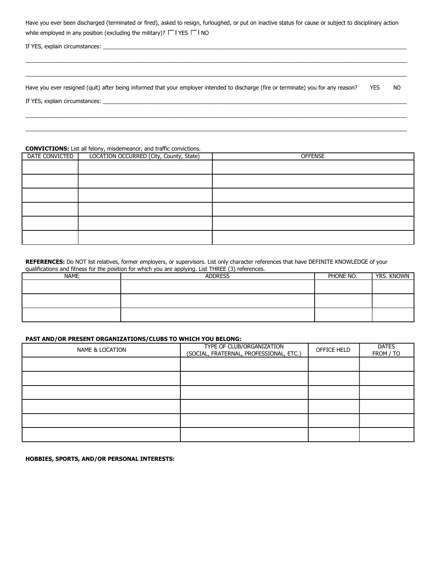| Have you ever been discharged (terminated or fired), asked to resign, furloughed, or put on inactive status for cause or subject to disciplinary action |
|---------------------------------------------------------------------------------------------------------------------------------------------------------|
| while employed in any position (excluding the military)? $\Box$ YES $\Box$ NO                                                                           |

If YES, explain circumstances: \_\_\_\_\_\_\_\_\_\_\_\_\_\_\_\_\_\_\_\_\_\_\_\_\_\_\_\_\_\_\_\_\_\_\_\_\_\_\_\_\_\_\_\_\_\_\_\_\_\_\_\_\_\_\_\_\_\_\_\_\_\_\_\_\_\_\_\_\_\_\_\_\_\_\_\_\_\_\_\_\_\_\_\_\_\_\_\_\_\_\_\_\_\_\_\_\_\_

Have you ever resigned (quit) after being informed that your employer intended to discharge (fire or terminate) you for any reason? YES NO

\_\_\_\_\_\_\_\_\_\_\_\_\_\_\_\_\_\_\_\_\_\_\_\_\_\_\_\_\_\_\_\_\_\_\_\_\_\_\_\_\_\_\_\_\_\_\_\_\_\_\_\_\_\_\_\_\_\_\_\_\_\_\_\_\_\_\_\_\_\_\_\_\_\_\_\_\_\_\_\_\_\_\_\_\_\_\_\_\_\_\_\_\_\_\_\_\_\_\_\_\_\_\_\_\_\_\_\_\_\_\_\_\_\_\_\_\_\_\_\_\_\_\_

\_\_\_\_\_\_\_\_\_\_\_\_\_\_\_\_\_\_\_\_\_\_\_\_\_\_\_\_\_\_\_\_\_\_\_\_\_\_\_\_\_\_\_\_\_\_\_\_\_\_\_\_\_\_\_\_\_\_\_\_\_\_\_\_\_\_\_\_\_\_\_\_\_\_\_\_\_\_\_\_\_\_\_\_\_\_\_\_\_\_\_\_\_\_\_\_\_\_\_\_\_\_\_\_\_\_\_\_\_\_\_\_\_\_\_\_\_\_\_\_\_\_\_

\_\_\_\_\_\_\_\_\_\_\_\_\_\_\_\_\_\_\_\_\_\_\_\_\_\_\_\_\_\_\_\_\_\_\_\_\_\_\_\_\_\_\_\_\_\_\_\_\_\_\_\_\_\_\_\_\_\_\_\_\_\_\_\_\_\_\_\_\_\_\_\_\_\_\_\_\_\_\_\_\_\_\_\_\_\_\_\_\_\_\_\_\_\_\_\_\_\_\_\_\_\_\_\_\_\_\_\_\_\_\_\_\_\_\_\_\_\_\_\_\_\_\_ \_\_\_\_\_\_\_\_\_\_\_\_\_\_\_\_\_\_\_\_\_\_\_\_\_\_\_\_\_\_\_\_\_\_\_\_\_\_\_\_\_\_\_\_\_\_\_\_\_\_\_\_\_\_\_\_\_\_\_\_\_\_\_\_\_\_\_\_\_\_\_\_\_\_\_\_\_\_\_\_\_\_\_\_\_\_\_\_\_\_\_\_\_\_\_\_\_\_\_\_\_\_\_\_\_\_\_\_\_\_\_\_\_\_\_\_\_\_\_\_\_\_\_

If YES, explain circumstances: \_\_\_\_\_\_\_\_\_\_\_\_\_\_\_\_\_\_\_\_\_\_\_\_\_\_\_\_\_\_\_\_\_\_\_\_\_\_\_\_\_\_\_\_\_\_\_\_\_\_\_\_\_\_\_\_\_\_\_\_\_\_\_\_\_\_\_\_\_\_\_\_\_\_\_\_\_\_\_\_\_\_\_\_\_\_\_\_\_\_\_\_\_\_\_\_\_\_

### CONVICTIONS: List all felony, misdemeanor, and traffic convictions.

| DATE CONVICTED | LOCATION OCCURRED (City, County, State) | <b>OFFENSE</b> |
|----------------|-----------------------------------------|----------------|
|                |                                         |                |
|                |                                         |                |
|                |                                         |                |
|                |                                         |                |
|                |                                         |                |
|                |                                         |                |

#### REFERENCES: Do NOT list relatives, former employers, or supervisors. List only character references that have DEFINITE KNOWLEDGE of your qualifications and fitness for the position for which you are applying. List THREE (3) references.

| <b>NAME</b> | .<br>.<br><b>ADDRESS</b> | PHONE NO. | <b>YRS. KNOWN</b> |
|-------------|--------------------------|-----------|-------------------|
|             |                          |           |                   |
|             |                          |           |                   |
|             |                          |           |                   |
|             |                          |           |                   |
|             |                          |           |                   |
|             |                          |           |                   |

#### PAST AND/OR PRESENT ORGANIZATIONS/CLUBS TO WHICH YOU BELONG:

| NAME & LOCATION | TYPE OF CLUB/ORGANIZATION<br>(SOCIAL, FRATERNAL, PROFESSIONAL, ETC.) | OFFICE HELD | <b>DATES</b><br>FROM / TO |
|-----------------|----------------------------------------------------------------------|-------------|---------------------------|
|                 |                                                                      |             |                           |
|                 |                                                                      |             |                           |
|                 |                                                                      |             |                           |
|                 |                                                                      |             |                           |
|                 |                                                                      |             |                           |
|                 |                                                                      |             |                           |

HOBBIES, SPORTS, AND/OR PERSONAL INTERESTS: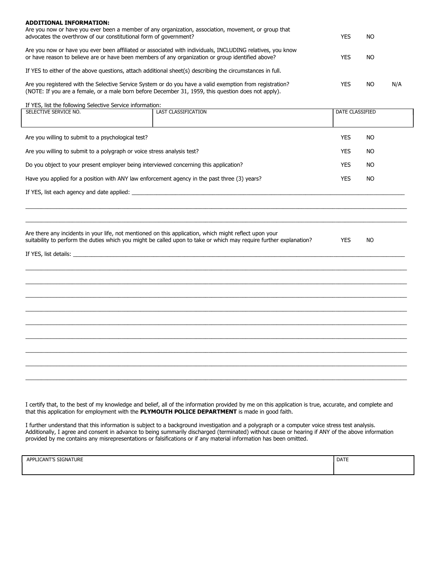| <b>ADDITIONAL INFORMATION:</b><br>Are you now or have you ever been a member of any organization, association, movement, or group that<br>advocates the overthrow of our constitutional form of government?     | YES | NO. |     |
|-----------------------------------------------------------------------------------------------------------------------------------------------------------------------------------------------------------------|-----|-----|-----|
| Are you now or have you ever been affiliated or associated with individuals, INCLUDING relatives, you know<br>or have reason to believe are or have been members of any organization or group identified above? | YES | NO. |     |
| If YES to either of the above questions, attach additional sheet(s) describing the circumstances in full.                                                                                                       |     |     |     |
| Are you registered with the Selective Service System or do you have a valid exemption from registration?<br>(NOTE: If you are a female, or a male born before December 31, 1959, this question does not apply). | YES | NO. | N/A |

If YES, list the following Selective Service information:

| SELECTIVE SERVICE NO.                                                   | <b>LAST CLASSIFICATION</b>                                                                                                                                                                                                   | DATE CLASSIFIED         |  |
|-------------------------------------------------------------------------|------------------------------------------------------------------------------------------------------------------------------------------------------------------------------------------------------------------------------|-------------------------|--|
|                                                                         |                                                                                                                                                                                                                              |                         |  |
| Are you willing to submit to a psychological test?                      |                                                                                                                                                                                                                              | <b>YES</b><br><b>NO</b> |  |
| Are you willing to submit to a polygraph or voice stress analysis test? |                                                                                                                                                                                                                              | <b>YES</b><br><b>NO</b> |  |
|                                                                         | Do you object to your present employer being interviewed concerning this application?                                                                                                                                        | <b>YES</b><br><b>NO</b> |  |
|                                                                         | Have you applied for a position with ANY law enforcement agency in the past three (3) years?                                                                                                                                 | <b>YES</b><br><b>NO</b> |  |
|                                                                         |                                                                                                                                                                                                                              |                         |  |
|                                                                         |                                                                                                                                                                                                                              |                         |  |
|                                                                         | Are there any incidents in your life, not mentioned on this application, which might reflect upon your<br>suitability to perform the duties which you might be called upon to take or which may require further explanation? | <b>YES</b><br><b>NO</b> |  |
|                                                                         |                                                                                                                                                                                                                              |                         |  |
|                                                                         |                                                                                                                                                                                                                              |                         |  |
|                                                                         |                                                                                                                                                                                                                              |                         |  |
|                                                                         | ,我们也不能在这里的人,我们也不能在这里的人,我们也不能在这里的人,我们也不能在这里的人,我们也不能在这里的人,我们也不能在这里的人,我们也不能在这里的人,我们也                                                                                                                                            |                         |  |
|                                                                         |                                                                                                                                                                                                                              |                         |  |
|                                                                         |                                                                                                                                                                                                                              |                         |  |
|                                                                         |                                                                                                                                                                                                                              |                         |  |
|                                                                         |                                                                                                                                                                                                                              |                         |  |
|                                                                         |                                                                                                                                                                                                                              |                         |  |
|                                                                         |                                                                                                                                                                                                                              |                         |  |

I certify that, to the best of my knowledge and belief, all of the information provided by me on this application is true, accurate, and complete and that this application for employment with the PLYMOUTH POLICE DEPARTMENT is made in good faith.

I further understand that this information is subject to a background investigation and a polygraph or a computer voice stress test analysis. Additionally, I agree and consent in advance to being summarily discharged (terminated) without cause or hearing if ANY of the above information provided by me contains any misrepresentations or falsifications or if any material information has been omitted.

| LICANT'S SIGNATURE<br><b>APPL</b> | DATE |
|-----------------------------------|------|
|                                   |      |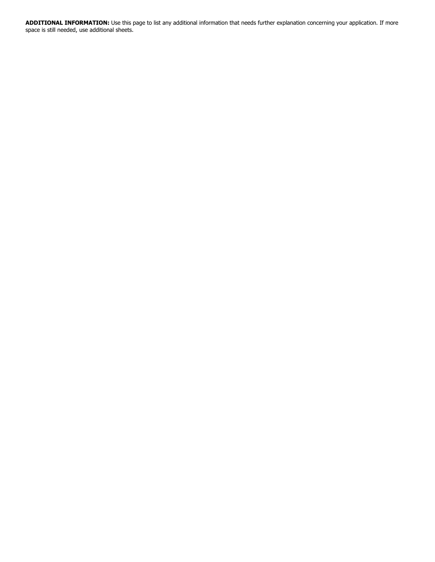ADDITIONAL INFORMATION: Use this page to list any additional information that needs further explanation concerning your application. If more space is still needed, use additional sheets.